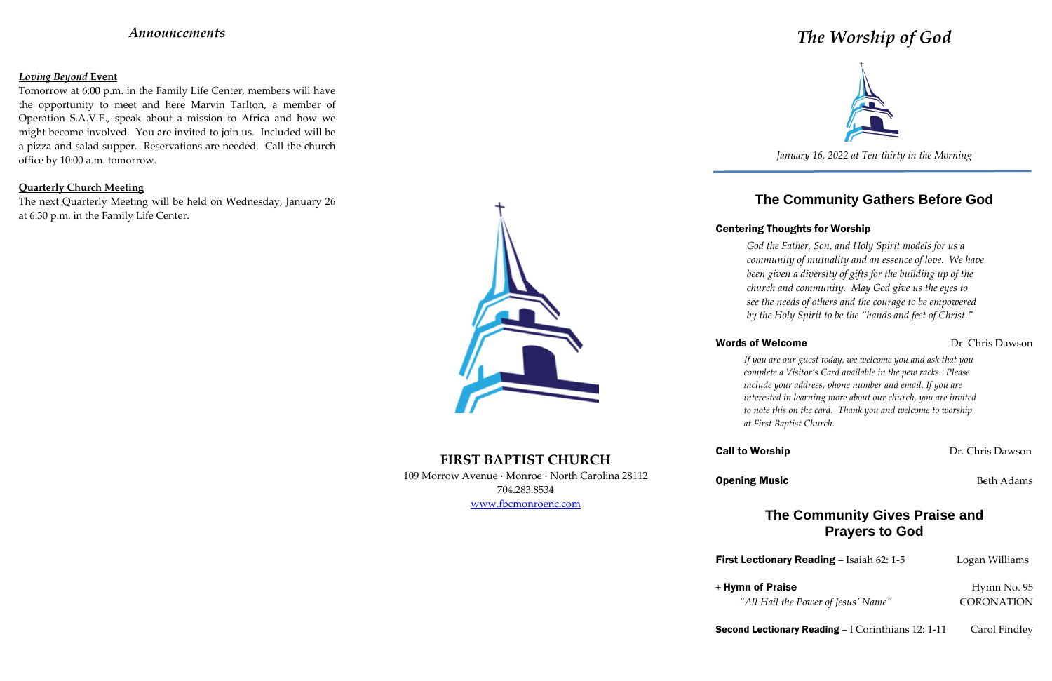## *Announcements*

### *Loving Beyond* **Event**

Tomorrow at 6:00 p.m. in the Family Life Center, members will have the opportunity to meet and here Marvin Tarlton, a member of Operation S.A.V.E., speak about a mission to Africa and how we might become involved. You are invited to join us. Included will be a pizza and salad supper. Reservations are needed. Call the church office by 10:00 a.m. tomorrow.

### **Quarterly Church Meeting**

The next Quarterly Meeting will be held on Wednesday, January 26 at 6:30 p.m. in the Family Life Center.



# **FIRST BAPTIST CHURCH**

109 Morrow Avenue · Monroe · North Carolina 28112 704.283.8534

www.fbcmonroenc.com

# *The Worship of God*



*January 16, 2022 at Ten-thirty in the Morning*

# **The Community Gathers Before God**

## Centering Thoughts for Worship

## Words of Welcome Dr. Chris Dawson

**Opening Music** Beth Adams

**First Lectionary Reading** – Isaiah 62: 1-5 Logan Williams

Second Lectionary Reading – I Corinthians 12: 1-11 Carol Findley

*God the Father, Son, and Holy Spirit models for us a community of mutuality and an essence of love. We have been given a diversity of gifts for the building up of the church and community. May God give us the eyes to see the needs of others and the courage to be empowered by the Holy Spirit to be the "hands and feet of Christ."*

*If you are our guest today, we welcome you and ask that you complete a Visitor's Card available in the pew racks. Please include your address, phone number and email. If you are interested in learning more about our church, you are invited to note this on the card. Thank you and welcome to worship at First Baptist Church.*

## **Call to Worship Call to Worship Dr. Chris Dawson**

## **The Community Gives Praise and Prayers to God**

*"All Hail the Power of Jesus' Name"* CORONATION

+ Hymn of Praise Hymn No. 95